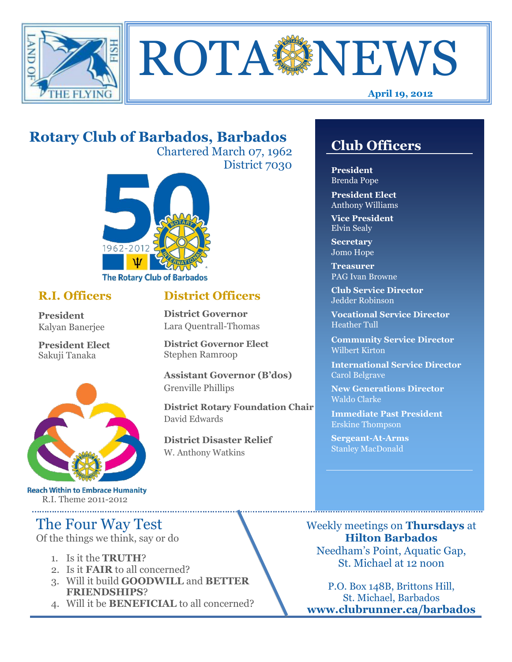



#### **April 19, 2012**

## **Rotary Club of Barbados, Barbados**

Chartered March 07, 1962 District 7030

**District Officers**

**District Governor Elect**

**District Disaster Relief**

W. Anthony Watkins

**Assistant Governor (B'dos)**

**District Rotary Foundation Chair**

**District Governor** Lara Quentrall-Thomas

Stephen Ramroop

Grenville Phillips

David Edwards



### **R.I. Officers**

**President**  Kalyan Banerjee

**President Elect** Sakuji Tanaka



**Reach Within to Embrace Humanity** R.I. Theme 2011-2012

## The Four Way Test

Of the things we think, say or do

- 1. Is it the **TRUTH**?
- 2. Is it **FAIR** to all concerned?
- 3. Will it build **GOODWILL** and **BETTER FRIENDSHIPS**?
- 4. Will it be **BENEFICIAL** to all concerned?

### **Club Officers**

**Club Officers** 

**President** Brenda Pope

**President Elect** Anthony Williams

**Vice President** Elvin Sealy

**Secretary** Jomo Hope

**Treasurer** PAG Ivan Browne

**Club Service Director** Jedder Robinson

**Vocational Service Director** Heather Tull

**Community Service Director** Wilbert Kirton

**International Service Director** Carol Belgrave

**New Generations Director** Waldo Clarke

**Immediate Past President** Erskine Thompson

**Sergeant-At-Arms** Stanley MacDonald

Weekly meetings on **Thursdays** at **Hilton Barbados** Needham's Point, Aquatic Gap, St. Michael at 12 noon

P.O. Box 148B, Brittons Hill, St. Michael, Barbados **www.clubrunner.ca/barbados**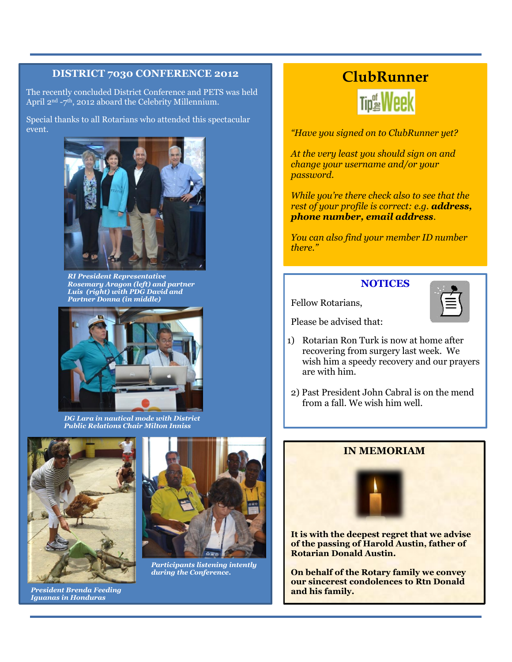#### **DISTRICT 7030 CONFERENCE 2012**

The recently concluded District Conference and PETS was held April 2<sup>nd</sup> -7<sup>th</sup>, 2012 aboard the Celebrity Millennium.

Special thanks to all Rotarians who attended this spectacular event.



*RI President Representative Rosemary Aragon (left) and partner Luis (right) with PDG David and Partner Donna (in middle)*



*DG Lara in nautical mode with District Public Relations Chair Milton Inniss*



*President Brenda Feeding Iguanas in Honduras*



*Participants listening intently during the Conference.*

### **ClubRunner**



*"Have you signed on to ClubRunner yet?* 

*At the very least you should sign on and change your username and/or your password.* 

*While you're there check also to see that the rest of your profile is correct: e.g. address, phone number, email address.* 

*You can also find your member ID number there."*

### **NOTICES**



Please be advised that:

Fellow Rotarians,

- 1) Rotarian Ron Turk is now at home after recovering from surgery last week. We wish him a speedy recovery and our prayers are with him.
- 2) Past President John Cabral is on the mend from a fall. We wish him well.

### **IN MEMORIAM**



**It is with the deepest regret that we advise of the passing of Harold Austin, father of Rotarian Donald Austin.** 

**On behalf of the Rotary family we convey our sincerest condolences to Rtn Donald and his family.**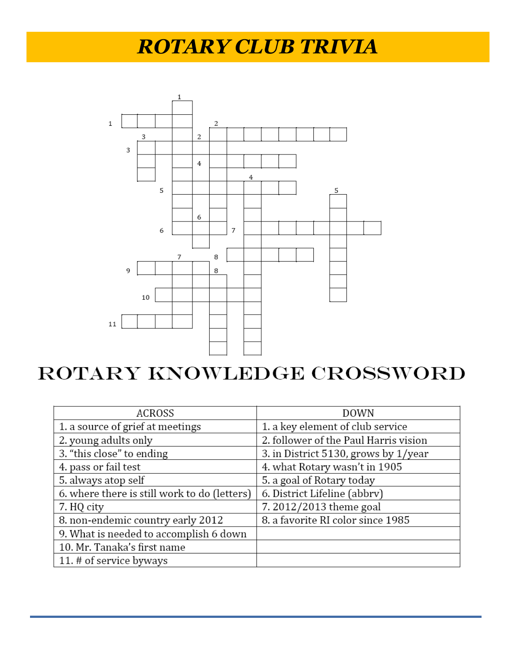# *ROTARY CLUB TRIVIA*



# ROTARY KNOWLEDGE CROSSWORD

| <b>ACROSS</b>                                | <b>DOWN</b>                                |
|----------------------------------------------|--------------------------------------------|
| 1. a source of grief at meetings             | 1. a key element of club service           |
| 2. young adults only                         | 2. follower of the Paul Harris vision      |
| 3. "this close" to ending                    | 3. in District $5130$ , grows by $1$ /year |
| 4. pass or fail test                         | 4. what Rotary wasn't in 1905              |
| 5. always atop self                          | 5. a goal of Rotary today                  |
| 6. where there is still work to do (letters) | 6. District Lifeline (abbrv)               |
| 7. HQ city                                   | 7.2012/2013 theme goal                     |
| 8. non-endemic country early 2012            | 8. a favorite RI color since 1985          |
| 9. What is needed to accomplish 6 down       |                                            |
| 10. Mr. Tanaka's first name                  |                                            |
| 11. # of service byways                      |                                            |